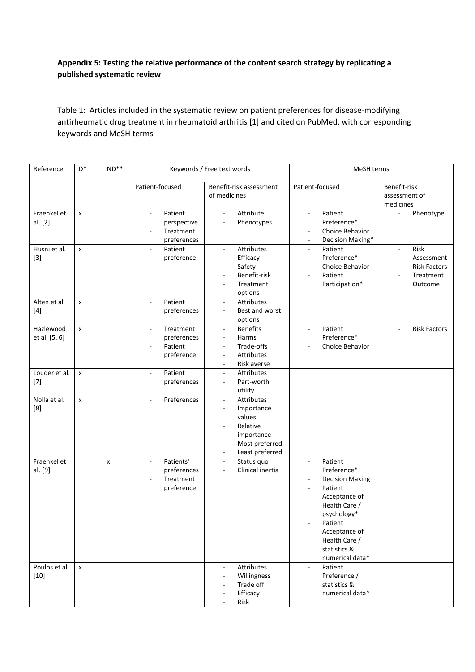## **Appendix 5: Testing the relative performance of the content search strategy by replicating a published systematic review**

Table 1: Articles included in the systematic review on patient preferences for disease-modifying antirheumatic drug treatment in rheumatoid arthritis [1] and cited on PubMed, with corresponding keywords and MeSH terms

| Reference                  | $\mathsf{D}^*$ | $ND**$         |                                                                                 | Keywords / Free text words                                                                                                                               | MeSH terms                                                                                                                                                                                                                 |                                                                                     |  |  |
|----------------------------|----------------|----------------|---------------------------------------------------------------------------------|----------------------------------------------------------------------------------------------------------------------------------------------------------|----------------------------------------------------------------------------------------------------------------------------------------------------------------------------------------------------------------------------|-------------------------------------------------------------------------------------|--|--|
|                            |                |                | Patient-focused                                                                 | Benefit-risk assessment<br>of medicines                                                                                                                  | Patient-focused                                                                                                                                                                                                            | Benefit-risk<br>assessment of<br>medicines                                          |  |  |
| Fraenkel et<br>al. [2]     | x              |                | Patient<br>$\blacksquare$<br>perspective<br>Treatment<br>preferences            | Attribute<br>$\omega$<br>Phenotypes                                                                                                                      | Patient<br>$\omega$<br>Preference*<br>Choice Behavior<br>Decision Making*<br>$\overline{\phantom{a}}$                                                                                                                      | Phenotype<br>$\overline{a}$                                                         |  |  |
| Husni et al.<br>$[3]$      | $\pmb{\times}$ |                | Patient<br>$\blacksquare$<br>preference                                         | Attributes<br>$\omega$<br>Efficacy<br>$\overline{\phantom{a}}$<br>Safety<br>$\overline{\phantom{a}}$<br>Benefit-risk<br>Treatment<br>options             | Patient<br>$\mathbf{r}$<br>Preference*<br>Choice Behavior<br>Patient<br>Participation*                                                                                                                                     | Risk<br>$\blacksquare$<br>Assessment<br><b>Risk Factors</b><br>Treatment<br>Outcome |  |  |
| Alten et al.<br>$[4]$      | $\mathsf{x}$   |                | Patient<br>$\blacksquare$<br>preferences                                        | Attributes<br>$\blacksquare$<br>Best and worst<br>٠<br>options                                                                                           |                                                                                                                                                                                                                            |                                                                                     |  |  |
| Hazlewood<br>et al. [5, 6] | $\pmb{\times}$ |                | Treatment<br>preferences<br>Patient<br>preference                               | <b>Benefits</b><br>$\overline{\phantom{a}}$<br>Harms<br>$\sim$<br>Trade-offs<br>÷,<br><b>Attributes</b><br>÷,<br>Risk averse<br>$\overline{\phantom{a}}$ | Patient<br>$\blacksquare$<br>Preference*<br>Choice Behavior                                                                                                                                                                | <b>Risk Factors</b>                                                                 |  |  |
| Louder et al.<br>$[7]$     | $\pmb{\times}$ |                | Patient<br>preferences                                                          | Attributes<br>$\blacksquare$<br>Part-worth<br>$\overline{\phantom{a}}$<br>utility                                                                        |                                                                                                                                                                                                                            |                                                                                     |  |  |
| Nolla et al.<br>[8]        | $\pmb{\times}$ |                | Preferences                                                                     | Attributes<br>$\blacksquare$<br>Importance<br>$\overline{\phantom{a}}$<br>values<br>Relative<br>importance<br>Most preferred<br>Least preferred          |                                                                                                                                                                                                                            |                                                                                     |  |  |
| Fraenkel et<br>al. [9]     |                | $\pmb{\times}$ | Patients'<br>$\overline{\phantom{a}}$<br>preferences<br>Treatment<br>preference | Status quo<br>$\blacksquare$<br>Clinical inertia<br>$\overline{\phantom{a}}$                                                                             | Patient<br>$\blacksquare$<br>Preference*<br><b>Decision Making</b><br>Patient<br>÷,<br>Acceptance of<br>Health Care /<br>psychology*<br>Patient<br>÷.<br>Acceptance of<br>Health Care /<br>statistics &<br>numerical data* |                                                                                     |  |  |
| Poulos et al.<br>$[10]$    | x              |                |                                                                                 | Attributes<br>$\blacksquare$<br>Willingness<br>÷.<br>Trade off<br>Efficacy<br>Risk                                                                       | Patient<br>$\blacksquare$<br>Preference /<br>statistics &<br>numerical data*                                                                                                                                               |                                                                                     |  |  |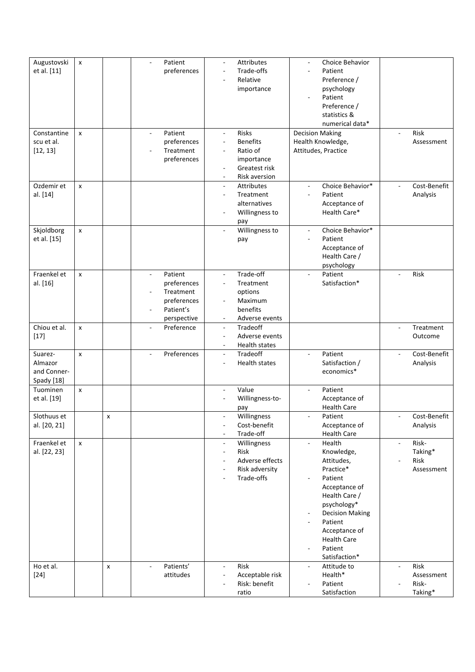| Augustovski        | $\pmb{\chi}$       |   | $\sim$                   | Patient     | $\overline{\phantom{a}}$                             | Attributes                  | Choice Behavior<br>$\overline{\phantom{a}}$                       |                          |              |
|--------------------|--------------------|---|--------------------------|-------------|------------------------------------------------------|-----------------------------|-------------------------------------------------------------------|--------------------------|--------------|
| et al. [11]        |                    |   |                          | preferences |                                                      | Trade-offs                  | Patient                                                           |                          |              |
|                    |                    |   |                          |             |                                                      | Relative                    | Preference /                                                      |                          |              |
|                    |                    |   |                          |             |                                                      | importance                  | psychology                                                        |                          |              |
|                    |                    |   |                          |             |                                                      |                             | Patient<br>÷,                                                     |                          |              |
|                    |                    |   |                          |             |                                                      |                             | Preference /                                                      |                          |              |
|                    |                    |   |                          |             |                                                      |                             | statistics &                                                      |                          |              |
|                    |                    |   |                          |             |                                                      |                             | numerical data*                                                   |                          |              |
| Constantine        | $\mathsf{x}$       |   |                          | Patient     | $\omega$                                             | Risks                       | <b>Decision Making</b>                                            |                          | Risk         |
| scu et al.         |                    |   |                          | preferences | $\overline{\phantom{a}}$                             | <b>Benefits</b>             | Health Knowledge,                                                 |                          | Assessment   |
| [12, 13]           |                    |   |                          | Treatment   |                                                      | Ratio of                    | Attitudes, Practice                                               |                          |              |
|                    |                    |   |                          | preferences |                                                      | importance                  |                                                                   |                          |              |
|                    |                    |   |                          |             | $\sim$                                               | Greatest risk               |                                                                   |                          |              |
| Ozdemir et         | $\mathsf{x}$       |   |                          |             | $\overline{\phantom{a}}$                             | Risk aversion<br>Attributes | Choice Behavior*                                                  |                          | Cost-Benefit |
| al. [14]           |                    |   |                          |             | $\overline{\phantom{a}}$                             | Treatment                   | Patient<br>÷,                                                     |                          | Analysis     |
|                    |                    |   |                          |             |                                                      | alternatives                | Acceptance of                                                     |                          |              |
|                    |                    |   |                          |             |                                                      | Willingness to              | Health Care*                                                      |                          |              |
|                    |                    |   |                          |             |                                                      | pay                         |                                                                   |                          |              |
| Skjoldborg         | $\pmb{\mathsf{x}}$ |   |                          |             | $\sim$                                               | Willingness to              | Choice Behavior*<br>$\bar{\phantom{a}}$                           |                          |              |
| et al. [15]        |                    |   |                          |             |                                                      | pay                         | Patient<br>$\blacksquare$                                         |                          |              |
|                    |                    |   |                          |             |                                                      |                             | Acceptance of                                                     |                          |              |
|                    |                    |   |                          |             |                                                      |                             | Health Care /                                                     |                          |              |
|                    |                    |   |                          |             |                                                      |                             | psychology                                                        |                          |              |
| Fraenkel et        | $\pmb{\mathsf{x}}$ |   | $\overline{\phantom{a}}$ | Patient     | $\overline{\phantom{a}}$                             | Trade-off                   | Patient<br>$\overline{\phantom{a}}$                               |                          | Risk         |
| al. [16]           |                    |   |                          | preferences | $\overline{\phantom{a}}$                             | Treatment                   | Satisfaction*                                                     |                          |              |
|                    |                    |   |                          | Treatment   |                                                      | options                     |                                                                   |                          |              |
|                    |                    |   |                          | preferences |                                                      | Maximum                     |                                                                   |                          |              |
|                    |                    |   |                          | Patient's   |                                                      | benefits                    |                                                                   |                          |              |
|                    |                    |   |                          | perspective |                                                      | Adverse events              |                                                                   |                          |              |
| Chiou et al.       | $\mathsf{x}$       |   |                          | Preference  | $\blacksquare$                                       | Tradeoff                    |                                                                   | $\Box$                   | Treatment    |
| $[17]$             |                    |   |                          |             | $\overline{\phantom{a}}$                             | Adverse events              |                                                                   |                          | Outcome      |
|                    |                    |   |                          |             | $\overline{\phantom{a}}$                             | Health states               |                                                                   |                          |              |
| Suarez-<br>Almazor | $\pmb{\mathsf{x}}$ |   |                          | Preferences | $\overline{\phantom{a}}$<br>$\overline{\phantom{a}}$ | Tradeoff<br>Health states   | Patient<br>$\overline{a}$<br>Satisfaction /                       | $\blacksquare$           | Cost-Benefit |
| and Conner-        |                    |   |                          |             |                                                      |                             | economics*                                                        |                          | Analysis     |
| Spady [18]         |                    |   |                          |             |                                                      |                             |                                                                   |                          |              |
| Tuominen           | $\mathsf{x}$       |   |                          |             | $\sim$                                               | Value                       | Patient<br>÷,                                                     |                          |              |
| et al. [19]        |                    |   |                          |             |                                                      | Willingness-to-             | Acceptance of                                                     |                          |              |
|                    |                    |   |                          |             |                                                      | pay                         | <b>Health Care</b>                                                |                          |              |
| Slothuus et        |                    | х |                          |             |                                                      | Willingness                 | Patient                                                           |                          | Cost-Benefit |
| al. [20, 21]       |                    |   |                          |             | $\sim$                                               | Cost-benefit                | Acceptance of                                                     |                          | Analysis     |
|                    |                    |   |                          |             |                                                      | Trade-off                   | <b>Health Care</b>                                                |                          |              |
| Fraenkel et        | $\mathsf{x}$       |   |                          |             | $\overline{\phantom{a}}$                             | Willingness                 | Health<br>÷,                                                      | $\overline{\phantom{a}}$ | Risk-        |
| al. [22, 23]       |                    |   |                          |             | $\overline{\phantom{a}}$                             | <b>Risk</b>                 | Knowledge,                                                        |                          | Taking*      |
|                    |                    |   |                          |             |                                                      | Adverse effects             | Attitudes,                                                        |                          | Risk         |
|                    |                    |   |                          |             |                                                      | Risk adversity              | Practice*                                                         |                          | Assessment   |
|                    |                    |   |                          |             |                                                      | Trade-offs                  | Patient                                                           |                          |              |
|                    |                    |   |                          |             |                                                      |                             | Acceptance of                                                     |                          |              |
|                    |                    |   |                          |             |                                                      |                             | Health Care /                                                     |                          |              |
|                    |                    |   |                          |             |                                                      |                             | psychology*<br><b>Decision Making</b><br>$\overline{\phantom{m}}$ |                          |              |
|                    |                    |   |                          |             |                                                      |                             | Patient<br>$\overline{\phantom{a}}$                               |                          |              |
|                    |                    |   |                          |             |                                                      |                             | Acceptance of                                                     |                          |              |
|                    |                    |   |                          |             |                                                      |                             | <b>Health Care</b>                                                |                          |              |
|                    |                    |   |                          |             |                                                      |                             | Patient                                                           |                          |              |
|                    |                    |   |                          |             |                                                      |                             | Satisfaction*                                                     |                          |              |
| Ho et al.          |                    | X |                          | Patients'   | $\overline{\phantom{a}}$                             | Risk                        | Attitude to<br>$\overline{\phantom{a}}$                           | $\sim$                   | Risk         |
| $[24]$             |                    |   |                          | attitudes   | $\overline{a}$                                       | Acceptable risk             | Health*                                                           |                          | Assessment   |
|                    |                    |   |                          |             |                                                      | Risk: benefit               | Patient                                                           |                          | Risk-        |
|                    |                    |   |                          |             |                                                      | ratio                       | Satisfaction                                                      |                          | Taking*      |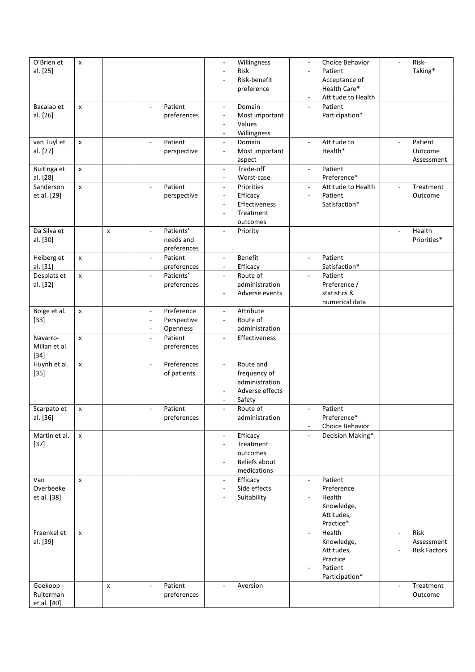| O'Brien et    | X                  |                |                                     |             | $\overline{\phantom{a}}$ | Willingness     | ٠                        | Choice Behavior    | $\overline{\phantom{a}}$ | Risk-               |
|---------------|--------------------|----------------|-------------------------------------|-------------|--------------------------|-----------------|--------------------------|--------------------|--------------------------|---------------------|
| al. [25]      |                    |                |                                     |             | ÷,                       | Risk            |                          | Patient            |                          | Taking*             |
|               |                    |                |                                     |             |                          | Risk-benefit    |                          | Acceptance of      |                          |                     |
|               |                    |                |                                     |             |                          | preference      |                          | Health Care*       |                          |                     |
|               |                    |                |                                     |             |                          |                 | $\overline{\phantom{a}}$ | Attitude to Health |                          |                     |
| Bacalao et    | $\pmb{\mathsf{x}}$ |                | Patient<br>$\sim$                   |             | $\blacksquare$           | Domain          | $\overline{\phantom{a}}$ | Patient            |                          |                     |
| al. [26]      |                    |                |                                     | preferences | $\overline{\phantom{a}}$ | Most important  |                          | Participation*     |                          |                     |
|               |                    |                |                                     |             | $\overline{a}$           | Values          |                          |                    |                          |                     |
|               |                    |                |                                     |             | $\blacksquare$           | Willingness     |                          |                    |                          |                     |
| van Tuyl et   | x                  |                | Patient<br>$\sim$                   |             | $\blacksquare$           | Domain          | $\bar{a}$                | Attitude to        | $\sim$                   | Patient             |
| al. [27]      |                    |                |                                     | perspective | $\overline{\phantom{a}}$ | Most important  |                          | Health*            |                          | Outcome             |
|               |                    |                |                                     |             |                          | aspect          |                          |                    |                          | Assessment          |
| Buitinga et   | $\pmb{\mathsf{x}}$ |                |                                     |             | $\overline{\phantom{a}}$ | Trade-off       | $\overline{a}$           | Patient            |                          |                     |
| al. [28]      |                    |                |                                     |             | $\overline{\phantom{a}}$ | Worst-case      |                          | Preference*        |                          |                     |
| Sanderson     |                    |                |                                     |             |                          |                 |                          |                    |                          |                     |
|               | $\pmb{\mathsf{x}}$ |                | Patient                             |             | $\overline{\phantom{a}}$ | Priorities      | $\frac{1}{2}$            | Attitude to Health |                          | Treatment           |
| et al. [29]   |                    |                |                                     | perspective | $\overline{\phantom{a}}$ | Efficacy        | ÷,                       | Patient            |                          | Outcome             |
|               |                    |                |                                     |             | ÷,                       | Effectiveness   |                          | Satisfaction*      |                          |                     |
|               |                    |                |                                     |             |                          | Treatment       |                          |                    |                          |                     |
|               |                    |                |                                     |             |                          | outcomes        |                          |                    |                          |                     |
| Da Silva et   |                    | $\pmb{\times}$ | Patients'<br>$\sim$                 |             | $\blacksquare$           | Priority        |                          |                    | $\sim$                   | Health              |
| al. [30]      |                    |                |                                     | needs and   |                          |                 |                          |                    |                          | Priorities*         |
|               |                    |                |                                     | preferences |                          |                 |                          |                    |                          |                     |
| Heiberg et    | x                  |                | Patient<br>$\overline{\phantom{a}}$ |             | $\overline{\phantom{a}}$ | Benefit         | $\frac{1}{2}$            | Patient            |                          |                     |
| al. [31]      |                    |                |                                     | preferences | $\overline{\phantom{a}}$ | Efficacy        |                          | Satisfaction*      |                          |                     |
| Desplats et   | $\pmb{\mathsf{x}}$ |                | Patients'<br>$\blacksquare$         |             | $\overline{\phantom{a}}$ | Route of        | $\overline{\phantom{a}}$ | Patient            |                          |                     |
| al. [32]      |                    |                |                                     | preferences |                          | administration  |                          | Preference /       |                          |                     |
|               |                    |                |                                     |             |                          | Adverse events  |                          | statistics &       |                          |                     |
|               |                    |                |                                     |             |                          |                 |                          | numerical data     |                          |                     |
| Bolge et al.  | x                  |                | $\overline{\phantom{a}}$            | Preference  | $\overline{\phantom{a}}$ | Attribute       |                          |                    |                          |                     |
| $[33]$        |                    |                | $\overline{\phantom{a}}$            | Perspective | ÷,                       | Route of        |                          |                    |                          |                     |
|               |                    |                | $\sim$                              | Openness    |                          | administration  |                          |                    |                          |                     |
| Navarro-      | $\mathsf{x}$       |                | Patient<br>$\mathbb{L}$             |             | $\blacksquare$           | Effectiveness   |                          |                    |                          |                     |
| Millan et al. |                    |                |                                     | preferences |                          |                 |                          |                    |                          |                     |
| $[34]$        |                    |                |                                     |             |                          |                 |                          |                    |                          |                     |
| Huynh et al.  | X                  |                | $\mathcal{L}_{\mathcal{A}}$         | Preferences | $\overline{\phantom{a}}$ | Route and       |                          |                    |                          |                     |
| $[35]$        |                    |                |                                     | of patients |                          | frequency of    |                          |                    |                          |                     |
|               |                    |                |                                     |             |                          | administration  |                          |                    |                          |                     |
|               |                    |                |                                     |             |                          | Adverse effects |                          |                    |                          |                     |
|               |                    |                |                                     |             | $\overline{\phantom{a}}$ | Safety          |                          |                    |                          |                     |
| Scarpato et   |                    |                | Patient<br>$\overline{\phantom{a}}$ |             | $\overline{\phantom{a}}$ | Route of        | $\overline{\phantom{a}}$ | Patient            |                          |                     |
|               | X                  |                |                                     |             |                          |                 |                          |                    |                          |                     |
| al. [36]      |                    |                |                                     | preferences |                          | administration  |                          | Preference*        |                          |                     |
|               |                    |                |                                     |             |                          |                 |                          | Choice Behavior    |                          |                     |
| Martin et al. | X                  |                |                                     |             | $\blacksquare$           | Efficacy        |                          | Decision Making*   |                          |                     |
| $[37]$        |                    |                |                                     |             |                          | Treatment       |                          |                    |                          |                     |
|               |                    |                |                                     |             |                          | outcomes        |                          |                    |                          |                     |
|               |                    |                |                                     |             |                          | Beliefs about   |                          |                    |                          |                     |
|               |                    |                |                                     |             |                          | medications     |                          |                    |                          |                     |
| Van           | x                  |                |                                     |             | $\overline{\phantom{a}}$ | Efficacy        | $\overline{\phantom{a}}$ | Patient            |                          |                     |
| Overbeeke     |                    |                |                                     |             | $\overline{\phantom{a}}$ | Side effects    |                          | Preference         |                          |                     |
| et al. [38]   |                    |                |                                     |             |                          | Suitability     |                          | Health             |                          |                     |
|               |                    |                |                                     |             |                          |                 |                          | Knowledge,         |                          |                     |
|               |                    |                |                                     |             |                          |                 |                          | Attitudes,         |                          |                     |
|               |                    |                |                                     |             |                          |                 |                          | Practice*          |                          |                     |
| Fraenkel et   | x                  |                |                                     |             |                          |                 | $\overline{\phantom{a}}$ | Health             | $\overline{\phantom{a}}$ | Risk                |
| al. [39]      |                    |                |                                     |             |                          |                 |                          | Knowledge,         |                          | Assessment          |
|               |                    |                |                                     |             |                          |                 |                          | Attitudes,         |                          | <b>Risk Factors</b> |
|               |                    |                |                                     |             |                          |                 |                          | Practice           |                          |                     |
|               |                    |                |                                     |             |                          |                 |                          | Patient            |                          |                     |
|               |                    |                |                                     |             |                          |                 |                          | Participation*     |                          |                     |
| Goekoop -     |                    | X              | Patient<br>$\overline{\phantom{a}}$ |             | $\overline{\phantom{a}}$ | Aversion        |                          |                    | $\overline{a}$           | Treatment           |
| Ruiterman     |                    |                |                                     | preferences |                          |                 |                          |                    |                          | Outcome             |
| et al. [40]   |                    |                |                                     |             |                          |                 |                          |                    |                          |                     |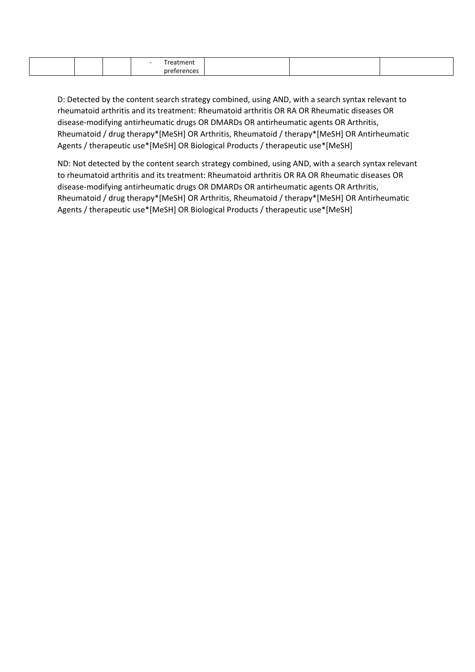D: Detected by the content search strategy combined, using AND, with a search syntax relevant to rheumatoid arthritis and its treatment: Rheumatoid arthritis OR RA OR Rheumatic diseases OR disease-modifying antirheumatic drugs OR DMARDs OR antirheumatic agents OR Arthritis, Rheumatoid / drug therapy\*[MeSH] OR Arthritis, Rheumatoid / therapy\*[MeSH] OR Antirheumatic Agents / therapeutic use\*[MeSH] OR Biological Products / therapeutic use\*[MeSH]

ND: Not detected by the content search strategy combined, using AND, with a search syntax relevant to rheumatoid arthritis and its treatment: Rheumatoid arthritis OR RA OR Rheumatic diseases OR disease-modifying antirheumatic drugs OR DMARDs OR antirheumatic agents OR Arthritis, Rheumatoid / drug therapy\*[MeSH] OR Arthritis, Rheumatoid / therapy\*[MeSH] OR Antirheumatic Agents / therapeutic use\*[MeSH] OR Biological Products / therapeutic use\*[MeSH]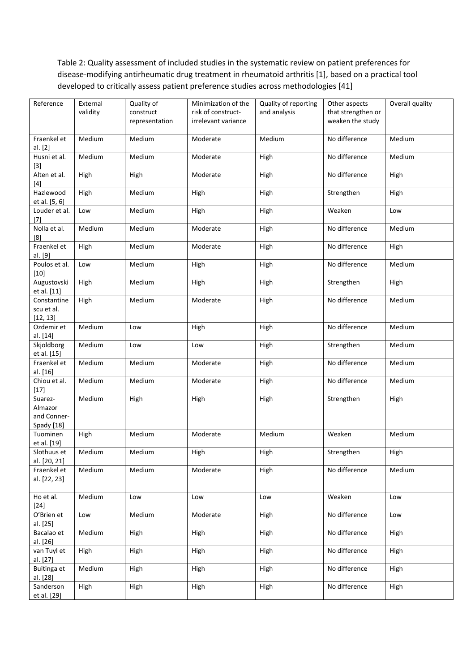Table 2: Quality assessment of included studies in the systematic review on patient preferences for disease-modifying antirheumatic drug treatment in rheumatoid arthritis [1], based on a practical tool developed to critically assess patient preference studies across methodologies [41]

| Reference                                       | External<br>validity | Quality of<br>construct<br>representation | Minimization of the<br>risk of construct-<br>irrelevant variance | Quality of reporting<br>and analysis | Other aspects<br>that strengthen or<br>weaken the study | Overall quality |
|-------------------------------------------------|----------------------|-------------------------------------------|------------------------------------------------------------------|--------------------------------------|---------------------------------------------------------|-----------------|
| Fraenkel et<br>al. [2]                          | Medium               | Medium                                    | Moderate                                                         | Medium                               | No difference                                           | Medium          |
| Husni et al.<br>$[3]$                           | Medium               | Medium                                    | Moderate                                                         | High                                 | No difference                                           | Medium          |
| Alten et al.<br>[4]                             | High                 | High                                      | Moderate                                                         | High                                 | No difference                                           | High            |
| Hazlewood<br>et al. [5, 6]                      | High                 | Medium                                    | High                                                             | High                                 | Strengthen                                              | High            |
| Louder et al.<br>$[7]$                          | Low                  | Medium                                    | High                                                             | High                                 | Weaken                                                  | Low             |
| Nolla et al.<br>[8]                             | Medium               | Medium                                    | Moderate                                                         | High                                 | No difference                                           | Medium          |
| Fraenkel et<br>al. [9]                          | High                 | Medium                                    | Moderate                                                         | High                                 | No difference                                           | High            |
| Poulos et al.<br>$[10]$                         | Low                  | Medium                                    | High                                                             | High                                 | No difference                                           | Medium          |
| Augustovski<br>et al. [11]                      | High                 | Medium                                    | High                                                             | High                                 | Strengthen                                              | High            |
| Constantine<br>scu et al.<br>[12, 13]           | High                 | Medium                                    | Moderate                                                         | High                                 | No difference                                           | Medium          |
| Ozdemir et<br>al. [14]                          | Medium               | Low                                       | High                                                             | High                                 | No difference                                           | Medium          |
| Skjoldborg<br>et al. [15]                       | Medium               | Low                                       | Low                                                              | High                                 | Strengthen                                              | Medium          |
| Fraenkel et<br>al. [16]                         | Medium               | Medium                                    | Moderate                                                         | High                                 | No difference                                           | Medium          |
| Chiou et al.<br>$[17]$                          | Medium               | Medium                                    | Moderate                                                         | High                                 | No difference                                           | Medium          |
| Suarez-<br>Almazor<br>and Conner-<br>Spady [18] | Medium               | High                                      | High                                                             | High                                 | Strengthen                                              | High            |
| Tuominen<br>et al. [19]                         | High                 | Medium                                    | Moderate                                                         | Medium                               | Weaken                                                  | Medium          |
| Slothuus et<br>al. [20, 21]                     | Medium               | Medium                                    | High                                                             | High                                 | Strengthen                                              | High            |
| Fraenkel et<br>al. [22, 23]                     | Medium               | Medium                                    | Moderate                                                         | High                                 | No difference                                           | Medium          |
| Ho et al.<br>$[24]$                             | Medium               | Low                                       | Low                                                              | Low                                  | Weaken                                                  | Low             |
| O'Brien et<br>al. [25]                          | Low                  | Medium                                    | Moderate                                                         | High                                 | No difference                                           | Low             |
| Bacalao et<br>al. [26]                          | Medium               | High                                      | High                                                             | High                                 | No difference                                           | High            |
| van Tuyl et<br>al. [27]                         | High                 | High                                      | High                                                             | High                                 | No difference                                           | High            |
| Buitinga et<br>al. [28]                         | Medium               | High                                      | High                                                             | High                                 | No difference                                           | High            |
| Sanderson<br>et al. [29]                        | High                 | High                                      | High                                                             | High                                 | No difference                                           | High            |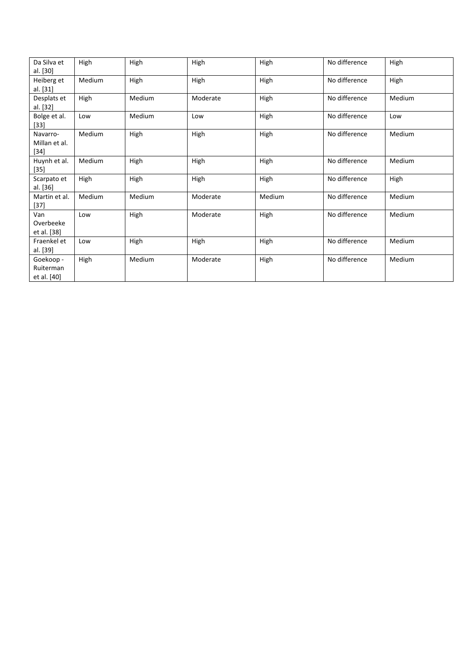| Da Silva et<br>al. [30]               | High   | High   | High     | High   | No difference | High   |
|---------------------------------------|--------|--------|----------|--------|---------------|--------|
| Heiberg et<br>al. [31]                | Medium | High   | High     | High   | No difference | High   |
| Desplats et<br>al. [32]               | High   | Medium | Moderate | High   | No difference | Medium |
| Bolge et al.<br>$[33]$                | Low    | Medium | Low      | High   | No difference | Low    |
| Navarro-<br>Millan et al.<br>$[34]$   | Medium | High   | High     | High   | No difference | Medium |
| Huynh et al.<br>$[35]$                | Medium | High   | High     | High   | No difference | Medium |
| Scarpato et<br>al. [36]               | High   | High   | High     | High   | No difference | High   |
| Martin et al.<br>$[37]$               | Medium | Medium | Moderate | Medium | No difference | Medium |
| Van<br>Overbeeke<br>et al. [38]       | Low    | High   | Moderate | High   | No difference | Medium |
| Fraenkel et<br>al. [39]               | Low    | High   | High     | High   | No difference | Medium |
| Goekoop -<br>Ruiterman<br>et al. [40] | High   | Medium | Moderate | High   | No difference | Medium |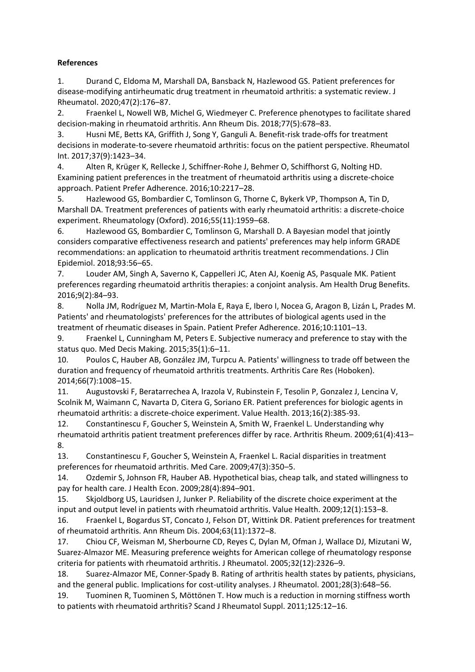## **References**

1. Durand C, Eldoma M, Marshall DA, Bansback N, Hazlewood GS. Patient preferences for disease-modifying antirheumatic drug treatment in rheumatoid arthritis: a systematic review. J Rheumatol. 2020;47(2):176–87.

2. Fraenkel L, Nowell WB, Michel G, Wiedmeyer C. Preference phenotypes to facilitate shared decision-making in rheumatoid arthritis. Ann Rheum Dis. 2018;77(5):678–83.

3. Husni ME, Betts KA, Griffith J, Song Y, Ganguli A. Benefit-risk trade-offs for treatment decisions in moderate-to-severe rheumatoid arthritis: focus on the patient perspective. Rheumatol Int. 2017;37(9):1423–34.

4. Alten R, Krüger K, Rellecke J, Schiffner-Rohe J, Behmer O, Schiffhorst G, Nolting HD. Examining patient preferences in the treatment of rheumatoid arthritis using a discrete-choice approach. Patient Prefer Adherence. 2016;10:2217–28.

5. Hazlewood GS, Bombardier C, Tomlinson G, Thorne C, Bykerk VP, Thompson A, Tin D, Marshall DA. Treatment preferences of patients with early rheumatoid arthritis: a discrete-choice experiment. Rheumatology (Oxford). 2016;55(11):1959–68.

6. Hazlewood GS, Bombardier C, Tomlinson G, Marshall D. A Bayesian model that jointly considers comparative effectiveness research and patients' preferences may help inform GRADE recommendations: an application to rheumatoid arthritis treatment recommendations. J Clin Epidemiol. 2018;93:56–65.

7. Louder AM, Singh A, Saverno K, Cappelleri JC, Aten AJ, Koenig AS, Pasquale MK. Patient preferences regarding rheumatoid arthritis therapies: a conjoint analysis. Am Health Drug Benefits. 2016;9(2):84–93.

8. Nolla JM, Rodríguez M, Martin-Mola E, Raya E, Ibero I, Nocea G, Aragon B, Lizán L, Prades M. Patients' and rheumatologists' preferences for the attributes of biological agents used in the treatment of rheumatic diseases in Spain. Patient Prefer Adherence. 2016;10:1101–13.

9. Fraenkel L, Cunningham M, Peters E. Subjective numeracy and preference to stay with the status quo. Med Decis Making. 2015;35(1):6–11.

10. Poulos C, Hauber AB, González JM, Turpcu A. Patients' willingness to trade off between the duration and frequency of rheumatoid arthritis treatments. Arthritis Care Res (Hoboken). 2014;66(7):1008–15.

11. Augustovski F, Beratarrechea A, Irazola V, Rubinstein F, Tesolin P, Gonzalez J, Lencina V, Scolnik M, Waimann C, Navarta D, Citera G, Soriano ER. Patient preferences for biologic agents in rheumatoid arthritis: a discrete-choice experiment. Value Health. 2013;16(2):385-93.

12. Constantinescu F, Goucher S, Weinstein A, Smith W, Fraenkel L. Understanding why rheumatoid arthritis patient treatment preferences differ by race. Arthritis Rheum. 2009;61(4):413– 8.

13. Constantinescu F, Goucher S, Weinstein A, Fraenkel L. Racial disparities in treatment preferences for rheumatoid arthritis. Med Care. 2009;47(3):350–5.

14. Ozdemir S, Johnson FR, Hauber AB. Hypothetical bias, cheap talk, and stated willingness to pay for health care. J Health Econ. 2009;28(4):894–901.

15. Skjoldborg US, Lauridsen J, Junker P. Reliability of the discrete choice experiment at the input and output level in patients with rheumatoid arthritis. Value Health. 2009;12(1):153–8.

16. Fraenkel L, Bogardus ST, Concato J, Felson DT, Wittink DR. Patient preferences for treatment of rheumatoid arthritis. Ann Rheum Dis. 2004;63(11):1372–8.

17. Chiou CF, Weisman M, Sherbourne CD, Reyes C, Dylan M, Ofman J, Wallace DJ, Mizutani W, Suarez-Almazor ME. Measuring preference weights for American college of rheumatology response criteria for patients with rheumatoid arthritis. J Rheumatol. 2005;32(12):2326–9.

18. Suarez-Almazor ME, Conner-Spady B. Rating of arthritis health states by patients, physicians, and the general public. Implications for cost-utility analyses. J Rheumatol. 2001;28(3):648–56.

19. Tuominen R, Tuominen S, Möttönen T. How much is a reduction in morning stiffness worth to patients with rheumatoid arthritis? Scand J Rheumatol Suppl. 2011;125:12–16.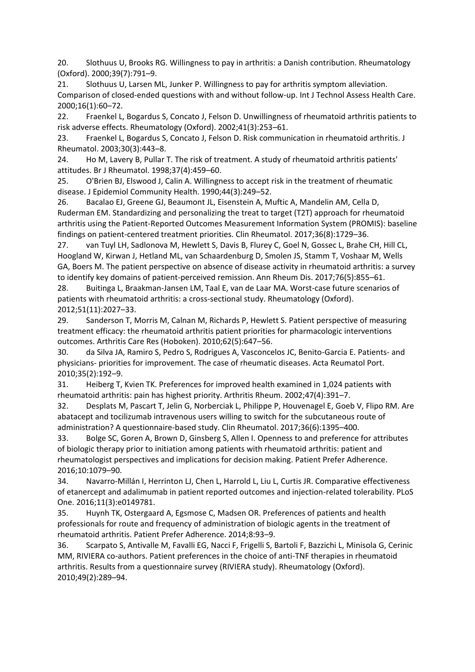20. Slothuus U, Brooks RG. Willingness to pay in arthritis: a Danish contribution. Rheumatology (Oxford). 2000;39(7):791–9.

21. Slothuus U, Larsen ML, Junker P. Willingness to pay for arthritis symptom alleviation. Comparison of closed-ended questions with and without follow-up. Int J Technol Assess Health Care. 2000;16(1):60–72.

22. Fraenkel L, Bogardus S, Concato J, Felson D. Unwillingness of rheumatoid arthritis patients to risk adverse effects. Rheumatology (Oxford). 2002;41(3):253–61.

23. Fraenkel L, Bogardus S, Concato J, Felson D. Risk communication in rheumatoid arthritis. J Rheumatol. 2003;30(3):443–8.

24. Ho M, Lavery B, Pullar T. The risk of treatment. A study of rheumatoid arthritis patients' attitudes. Br J Rheumatol. 1998;37(4):459–60.

25. O'Brien BJ, Elswood J, Calin A. Willingness to accept risk in the treatment of rheumatic disease. J Epidemiol Community Health. 1990;44(3):249–52.

26. Bacalao EJ, Greene GJ, Beaumont JL, Eisenstein A, Muftic A, Mandelin AM, Cella D, Ruderman EM. Standardizing and personalizing the treat to target (T2T) approach for rheumatoid arthritis using the Patient-Reported Outcomes Measurement Information System (PROMIS): baseline findings on patient-centered treatment priorities. Clin Rheumatol. 2017;36(8):1729–36.

27. van Tuyl LH, Sadlonova M, Hewlett S, Davis B, Flurey C, Goel N, Gossec L, Brahe CH, Hill CL, Hoogland W, Kirwan J, Hetland ML, van Schaardenburg D, Smolen JS, Stamm T, Voshaar M, Wells GA, Boers M. The patient perspective on absence of disease activity in rheumatoid arthritis: a survey to identify key domains of patient-perceived remission. Ann Rheum Dis. 2017;76(5):855–61.

28. Buitinga L, Braakman-Jansen LM, Taal E, van de Laar MA. Worst-case future scenarios of patients with rheumatoid arthritis: a cross-sectional study. Rheumatology (Oxford). 2012;51(11):2027–33.

29. Sanderson T, Morris M, Calnan M, Richards P, Hewlett S. Patient perspective of measuring treatment efficacy: the rheumatoid arthritis patient priorities for pharmacologic interventions outcomes. Arthritis Care Res (Hoboken). 2010;62(5):647–56.

30. da Silva JA, Ramiro S, Pedro S, Rodrigues A, Vasconcelos JC, Benito-Garcia E. Patients- and physicians- priorities for improvement. The case of rheumatic diseases. Acta Reumatol Port. 2010;35(2):192–9.

31. Heiberg T, Kvien TK. Preferences for improved health examined in 1,024 patients with rheumatoid arthritis: pain has highest priority. Arthritis Rheum. 2002;47(4):391–7.

32. Desplats M, Pascart T, Jelin G, Norberciak L, Philippe P, Houvenagel E, Goeb V, Flipo RM. Are abatacept and tocilizumab intravenous users willing to switch for the subcutaneous route of administration? A questionnaire-based study. Clin Rheumatol. 2017;36(6):1395–400.

33. Bolge SC, Goren A, Brown D, Ginsberg S, Allen I. Openness to and preference for attributes of biologic therapy prior to initiation among patients with rheumatoid arthritis: patient and rheumatologist perspectives and implications for decision making. Patient Prefer Adherence. 2016;10:1079–90.

34. Navarro-Millán I, Herrinton LJ, Chen L, Harrold L, Liu L, Curtis JR. Comparative effectiveness of etanercept and adalimumab in patient reported outcomes and injection-related tolerability. PLoS One. 2016;11(3):e0149781.

35. Huynh TK, Ostergaard A, Egsmose C, Madsen OR. Preferences of patients and health professionals for route and frequency of administration of biologic agents in the treatment of rheumatoid arthritis. Patient Prefer Adherence. 2014;8:93–9.

36. Scarpato S, Antivalle M, Favalli EG, Nacci F, Frigelli S, Bartoli F, Bazzichi L, Minisola G, Cerinic MM, RIVIERA co-authors. Patient preferences in the choice of anti-TNF therapies in rheumatoid arthritis. Results from a questionnaire survey (RIVIERA study). Rheumatology (Oxford). 2010;49(2):289–94.